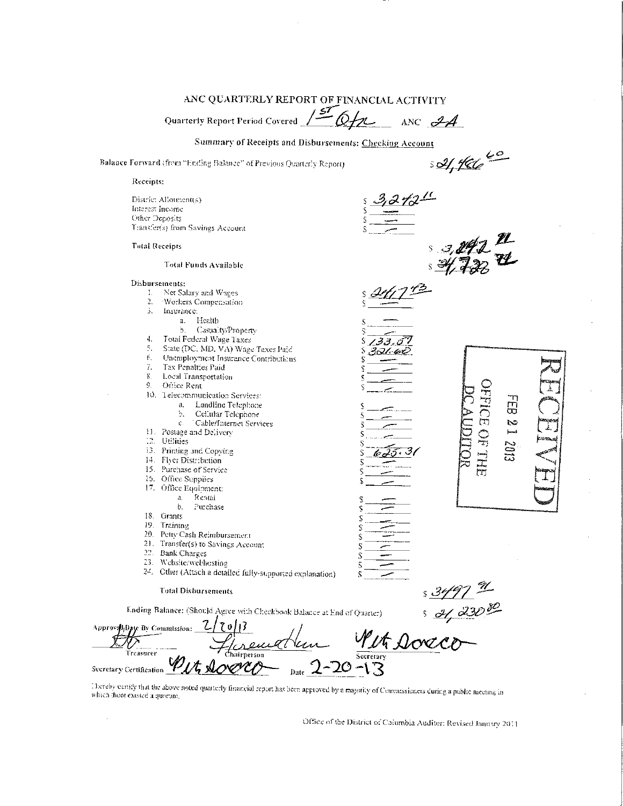# ANC QUARTERLY REPORT OF FINANCIAL ACTIVITY

Quarterly Report Period Covered 150 0fx  $\overline{\phantom{a}}$  ANC  $\mathcal{A}$ 

Summary of Receipts and Disbursements: Checking Account

Balance Forward (from "Ending Balance" of Previous Quarterly Report)

 $\overline{\mathcal{L}}$ s 04,466

Receipts:

District Allotment(s) Interest Income Other Deposits Transfer(s) from Savings Account

## **Total Receipts**

## Total Funds Available

## Disbursements:

- Net Salary and Wages  $1.1$
- $\overline{2}$ Workers Compensation
- ă. Insurance:
	- Health  $a<sub>r</sub>$ 
		- Casualty/Property b.
- $\ddagger$ . Total Federal Wage Taxes
- State (DC, MD, VA) Wage Taxes Paid 5.
- Unemployment Insurance Contributions  $\epsilon.$
- $7.$ Tax Penalties Paid
- ${\bf g}$ Local Transportation
- $\mathbf{Q}$ Office Rent
- 10. Telecommunication Services:
	- Landline Telephone a.
		- b.
		- Cellular Telephone  $\mathbf{C}$
- Cable/Internet Services 11. Pestage and Delivery
- 12. Utilities
- 
- 13. Printing and Copying
- 14. Flyer Distribution
- 15. Purchase of Service
- 15. Office Supplies
- 17. Office Equipment:
	- Rentai  $a.$
	- b. Purchase
- 18. Grants
- 19. Training
- 20. Petty Cash Reimbursement
- 21. Transfer(s) to Savings Account
- 22. Bank Charges
- 23. Website/webhosting
- 24. Other (Attach a detailed fully-supported explanation)

#### **Total Disbursements**

Ending Balance: (Should Agree with Checkbook Balance at End of Quarter)

**OFFICE OF THE** 

口

Z

2013

s 3497 % Approval<sub>i</sub>Date By Commission: Treasurer Secretary Secretary Certification

Ñ

Ñ

Decreby certify that the above noted quarterly financial report has been approved by a majority of Cemmissioners during a public meeting in which there existed a quorum.

Office of the District of Columbia Auditor: Revised January 2011